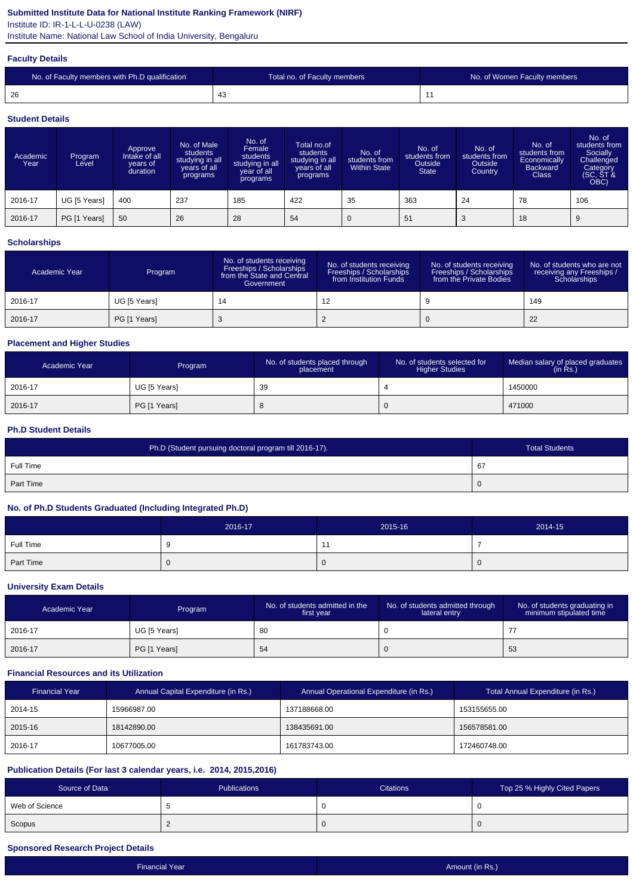### **Submitted Institute Data for National Institute Ranking Framework (NIRF)**

Institute ID: IR-1-L-L-U-0238 (LAW)

Institute Name: National Law School of India University, Bengaluru

#### **Faculty Details**

| No. of Faculty members with Ph.D qualification | Total no. of Faculty members | No. of Women Faculty members |
|------------------------------------------------|------------------------------|------------------------------|
| -26                                            | 4٥                           |                              |

#### **Student Details**

| Academic<br>Year | Program<br>Level | Approve<br>Intake of all<br>vears of<br>duration | No. of Male<br>students<br>studying in all<br>years of all<br>programs | No. of<br>Female<br>students<br>studying in all<br>year of all<br>programs | Total no.of<br>students<br>studying in all<br>years of all<br>programs | No. of<br>students from<br><b>Within State</b> | No. of<br>students from<br>Outside<br><b>State</b> | No. of<br>students from<br>Outside<br>Country | No. of<br>students from<br>Economically<br><b>Backward</b><br><b>Class</b> | No. of<br>students from<br>Socially<br>Challenged<br>Category<br>(SC, ST &<br>OBC) |
|------------------|------------------|--------------------------------------------------|------------------------------------------------------------------------|----------------------------------------------------------------------------|------------------------------------------------------------------------|------------------------------------------------|----------------------------------------------------|-----------------------------------------------|----------------------------------------------------------------------------|------------------------------------------------------------------------------------|
| 2016-17          | UG [5 Years]     | 400                                              | 237                                                                    | 185                                                                        | 422                                                                    | 35                                             | 363                                                | 24                                            | 78                                                                         | 106                                                                                |
| 2016-17          | PG [1 Years]     | 50                                               | 26                                                                     | 28                                                                         | 54                                                                     | 0                                              | 51                                                 |                                               | 18                                                                         |                                                                                    |

### **Scholarships**

| Academic Year | Program      | No. of students receiving<br>Freeships / Scholarships<br>from the State and Central<br>Government | No. of students receiving<br><b>Freeships / Scholarships</b><br>from Institution Funds | No. of students receiving<br>Freeships / Scholarships<br>from the Private Bodies | No. of students who are not<br>receiving any Freeships /<br>Scholarships |
|---------------|--------------|---------------------------------------------------------------------------------------------------|----------------------------------------------------------------------------------------|----------------------------------------------------------------------------------|--------------------------------------------------------------------------|
| 2016-17       | UG [5 Years] | 14                                                                                                | 12                                                                                     |                                                                                  | 149                                                                      |
| 2016-17       | PG [1 Years] |                                                                                                   |                                                                                        |                                                                                  | 22                                                                       |

### **Placement and Higher Studies**

| Academic Year | Program      | No. of students placed through<br>placement | No. of students selected for<br><b>Higher Studies</b> | Median salary of placed graduates<br>(in Rs.) |
|---------------|--------------|---------------------------------------------|-------------------------------------------------------|-----------------------------------------------|
| 2016-17       | UG [5 Years] | 39                                          |                                                       | 1450000                                       |
| 2016-17       | PG [1 Years] | O                                           | U                                                     | 471000                                        |

#### **Ph.D Student Details**

| Ph.D (Student pursuing doctoral program till 2016-17). | <b>Total Students</b> |
|--------------------------------------------------------|-----------------------|
| Full Time                                              | 67                    |
| <b>Part Time</b>                                       | 0                     |

### **No. of Ph.D Students Graduated (Including Integrated Ph.D)**

|           | 2016-17 | 2015-16 | 2014-15 |
|-----------|---------|---------|---------|
| Full Time |         |         |         |
| Part Time |         |         | U       |

#### **University Exam Details**

| Academic Year | Program      | No. of students admitted in the<br>first year | No. of students admitted through<br>lateral entry | No. of students graduating in<br>minimum stipulated time |
|---------------|--------------|-----------------------------------------------|---------------------------------------------------|----------------------------------------------------------|
| 2016-17       | UG [5 Years] | -80                                           |                                                   |                                                          |
| 2016-17       | PG [1 Years] | -54                                           |                                                   | -53                                                      |

# **Financial Resources and its Utilization**

| <b>Financial Year</b> | Annual Capital Expenditure (in Rs.) | Annual Operational Expenditure (in Rs.) | Total Annual Expenditure (in Rs.) |
|-----------------------|-------------------------------------|-----------------------------------------|-----------------------------------|
| 2014-15               | 15966987.00                         | 137188668.00                            | 153155655.00                      |
| 2015-16               | 18142890.00                         | 138435691.00                            | 156578581.00                      |
| 2016-17               | 10677005.00                         | 161783743.00                            | 172460748.00                      |

### **Publication Details (For last 3 calendar years, i.e. 2014, 2015,2016)**

| Source of Data | <b>Publications</b> | Citations    | Top 25 % Highly Cited Papers |
|----------------|---------------------|--------------|------------------------------|
| Web of Science |                     | u            |                              |
| Scopus         |                     | $\mathbf{U}$ |                              |

### **Sponsored Research Project Details**

| <b>Financial Year</b> | Amount (in Rs.) |
|-----------------------|-----------------|
|                       |                 |